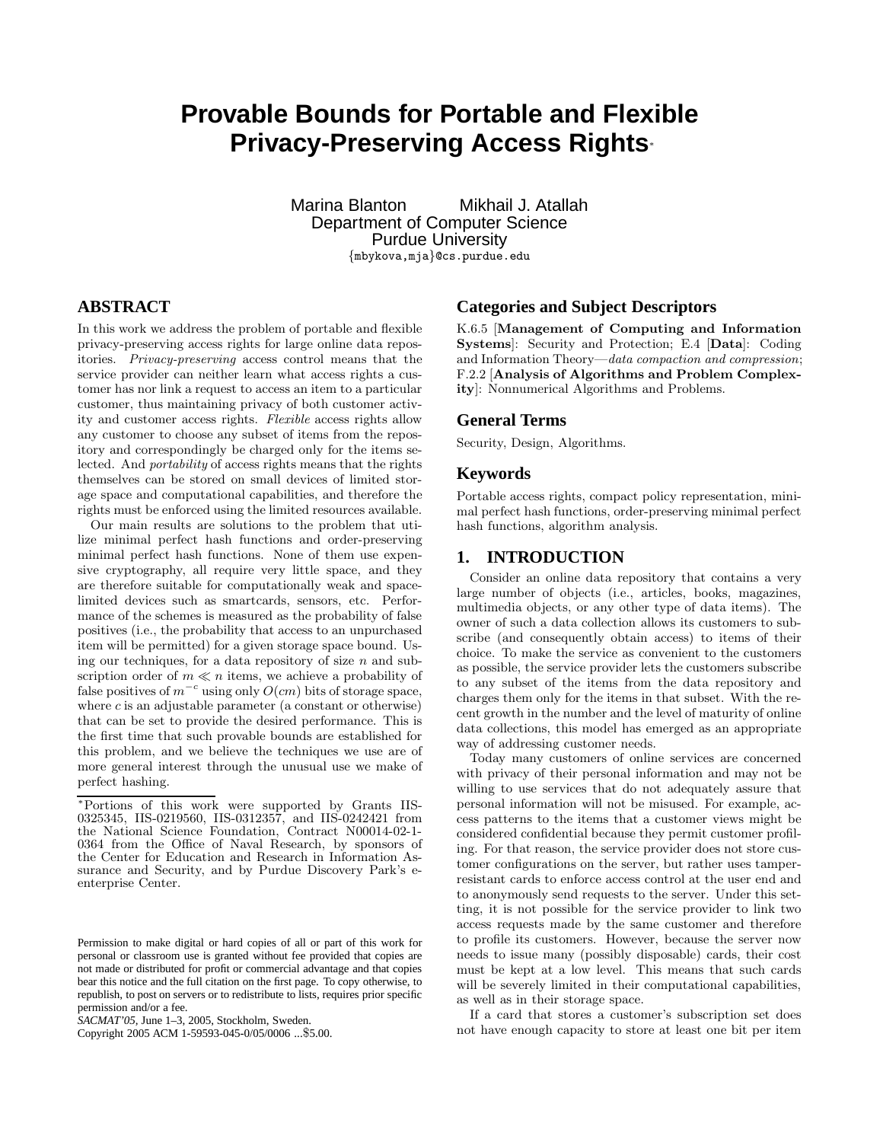# **Provable Bounds for Portable and Flexible Privacy-Preserving Access Rights**<sup>∗</sup>

Marina Blanton Mikhail J. Atallah Department of Computer Science Purdue University {mbykova,mja}@cs.purdue.edu

# **ABSTRACT**

In this work we address the problem of portable and flexible privacy-preserving access rights for large online data repositories. Privacy-preserving access control means that the service provider can neither learn what access rights a customer has nor link a request to access an item to a particular customer, thus maintaining privacy of both customer activity and customer access rights. Flexible access rights allow any customer to choose any subset of items from the repository and correspondingly be charged only for the items selected. And portability of access rights means that the rights themselves can be stored on small devices of limited storage space and computational capabilities, and therefore the rights must be enforced using the limited resources available.

Our main results are solutions to the problem that utilize minimal perfect hash functions and order-preserving minimal perfect hash functions. None of them use expensive cryptography, all require very little space, and they are therefore suitable for computationally weak and spacelimited devices such as smartcards, sensors, etc. Performance of the schemes is measured as the probability of false positives (i.e., the probability that access to an unpurchased item will be permitted) for a given storage space bound. Using our techniques, for a data repository of size  $n$  and subscription order of  $m \ll n$  items, we achieve a probability of false positives of  $m^{-c}$  using only  $O(cm)$  bits of storage space, where  $c$  is an adjustable parameter (a constant or otherwise) that can be set to provide the desired performance. This is the first time that such provable bounds are established for this problem, and we believe the techniques we use are of more general interest through the unusual use we make of perfect hashing.

Copyright 2005 ACM 1-59593-045-0/05/0006 ...\$5.00.

#### **Categories and Subject Descriptors**

K.6.5 [Management of Computing and Information Systems]: Security and Protection; E.4 [Data]: Coding and Information Theory—data compaction and compression; F.2.2 [Analysis of Algorithms and Problem Complexity]: Nonnumerical Algorithms and Problems.

#### **General Terms**

Security, Design, Algorithms.

#### **Keywords**

Portable access rights, compact policy representation, minimal perfect hash functions, order-preserving minimal perfect hash functions, algorithm analysis.

#### **1. INTRODUCTION**

Consider an online data repository that contains a very large number of objects (i.e., articles, books, magazines, multimedia objects, or any other type of data items). The owner of such a data collection allows its customers to subscribe (and consequently obtain access) to items of their choice. To make the service as convenient to the customers as possible, the service provider lets the customers subscribe to any subset of the items from the data repository and charges them only for the items in that subset. With the recent growth in the number and the level of maturity of online data collections, this model has emerged as an appropriate way of addressing customer needs.

Today many customers of online services are concerned with privacy of their personal information and may not be willing to use services that do not adequately assure that personal information will not be misused. For example, access patterns to the items that a customer views might be considered confidential because they permit customer profiling. For that reason, the service provider does not store customer configurations on the server, but rather uses tamperresistant cards to enforce access control at the user end and to anonymously send requests to the server. Under this setting, it is not possible for the service provider to link two access requests made by the same customer and therefore to profile its customers. However, because the server now needs to issue many (possibly disposable) cards, their cost must be kept at a low level. This means that such cards will be severely limited in their computational capabilities, as well as in their storage space.

If a card that stores a customer's subscription set does not have enough capacity to store at least one bit per item

<sup>∗</sup>Portions of this work were supported by Grants IIS-0325345, IIS-0219560, IIS-0312357, and IIS-0242421 from the National Science Foundation, Contract N00014-02-1- 0364 from the Office of Naval Research, by sponsors of the Center for Education and Research in Information Assurance and Security, and by Purdue Discovery Park's eenterprise Center.

Permission to make digital or hard copies of all or part of this work for personal or classroom use is granted without fee provided that copies are not made or distributed for profit or commercial advantage and that copies bear this notice and the full citation on the first page. To copy otherwise, to republish, to post on servers or to redistribute to lists, requires prior specific permission and/or a fee.

*SACMAT'05,* June 1–3, 2005, Stockholm, Sweden.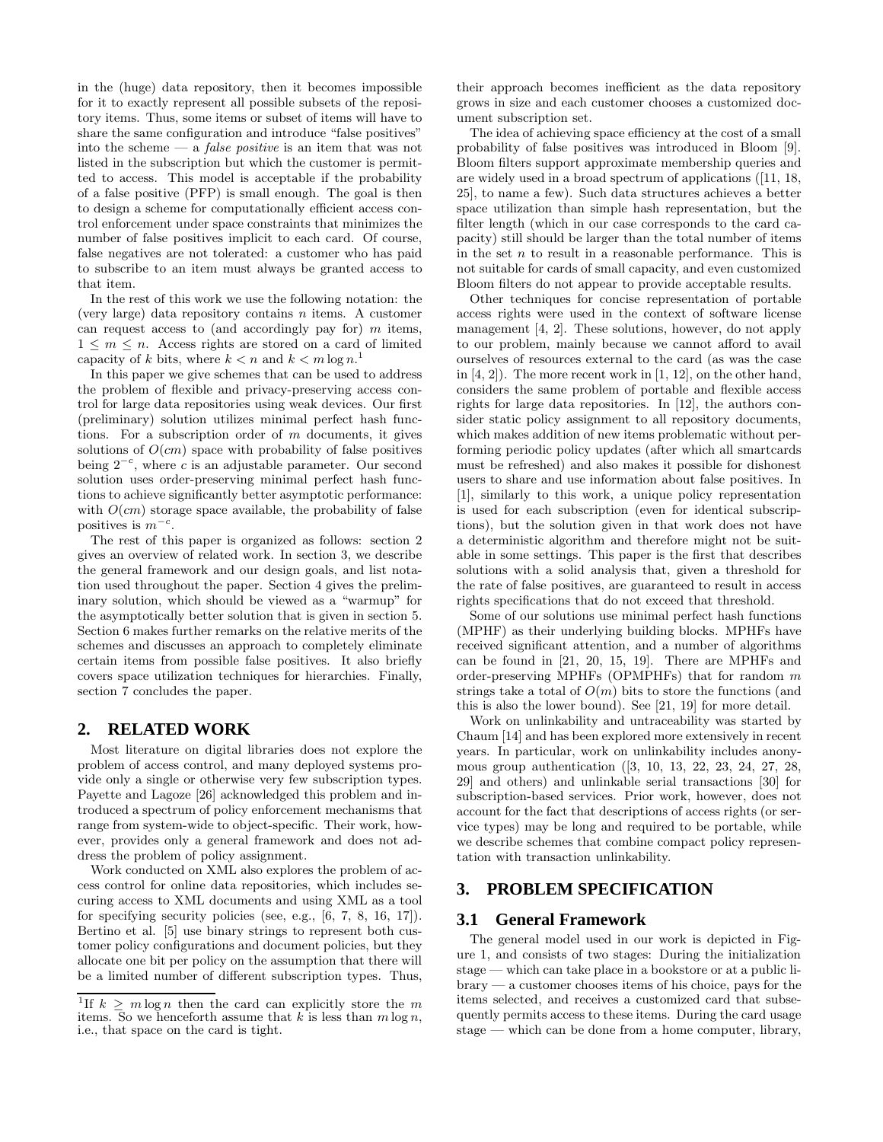in the (huge) data repository, then it becomes impossible for it to exactly represent all possible subsets of the repository items. Thus, some items or subset of items will have to share the same configuration and introduce "false positives" into the scheme  $-$  a *false positive* is an item that was not listed in the subscription but which the customer is permitted to access. This model is acceptable if the probability of a false positive (PFP) is small enough. The goal is then to design a scheme for computationally efficient access control enforcement under space constraints that minimizes the number of false positives implicit to each card. Of course, false negatives are not tolerated: a customer who has paid to subscribe to an item must always be granted access to that item.

In the rest of this work we use the following notation: the (very large) data repository contains  $n$  items. A customer can request access to (and accordingly pay for)  $m$  items,  $1 \leq m \leq n$ . Access rights are stored on a card of limited capacity of k bits, where  $k < n$  and  $k < m \log n$ .<sup>1</sup>

In this paper we give schemes that can be used to address the problem of flexible and privacy-preserving access control for large data repositories using weak devices. Our first (preliminary) solution utilizes minimal perfect hash functions. For a subscription order of  $m$  documents, it gives solutions of  $O(cm)$  space with probability of false positives being  $2^{-c}$ , where c is an adjustable parameter. Our second solution uses order-preserving minimal perfect hash functions to achieve significantly better asymptotic performance: with  $O(cm)$  storage space available, the probability of false positives is  $m^{-c}$ .

The rest of this paper is organized as follows: section 2 gives an overview of related work. In section 3, we describe the general framework and our design goals, and list notation used throughout the paper. Section 4 gives the preliminary solution, which should be viewed as a "warmup" for the asymptotically better solution that is given in section 5. Section 6 makes further remarks on the relative merits of the schemes and discusses an approach to completely eliminate certain items from possible false positives. It also briefly covers space utilization techniques for hierarchies. Finally, section 7 concludes the paper.

#### **2. RELATED WORK**

Most literature on digital libraries does not explore the problem of access control, and many deployed systems provide only a single or otherwise very few subscription types. Payette and Lagoze [26] acknowledged this problem and introduced a spectrum of policy enforcement mechanisms that range from system-wide to object-specific. Their work, however, provides only a general framework and does not address the problem of policy assignment.

Work conducted on XML also explores the problem of access control for online data repositories, which includes securing access to XML documents and using XML as a tool for specifying security policies (see, e.g.,  $[6, 7, 8, 16, 17]$ ). Bertino et al. [5] use binary strings to represent both customer policy configurations and document policies, but they allocate one bit per policy on the assumption that there will be a limited number of different subscription types. Thus, their approach becomes inefficient as the data repository grows in size and each customer chooses a customized document subscription set.

The idea of achieving space efficiency at the cost of a small probability of false positives was introduced in Bloom [9]. Bloom filters support approximate membership queries and are widely used in a broad spectrum of applications ([11, 18, 25], to name a few). Such data structures achieves a better space utilization than simple hash representation, but the filter length (which in our case corresponds to the card capacity) still should be larger than the total number of items in the set  $n$  to result in a reasonable performance. This is not suitable for cards of small capacity, and even customized Bloom filters do not appear to provide acceptable results.

Other techniques for concise representation of portable access rights were used in the context of software license management [4, 2]. These solutions, however, do not apply to our problem, mainly because we cannot afford to avail ourselves of resources external to the card (as was the case in  $[4, 2]$ . The more recent work in  $[1, 12]$ , on the other hand, considers the same problem of portable and flexible access rights for large data repositories. In [12], the authors consider static policy assignment to all repository documents, which makes addition of new items problematic without performing periodic policy updates (after which all smartcards must be refreshed) and also makes it possible for dishonest users to share and use information about false positives. In [1], similarly to this work, a unique policy representation is used for each subscription (even for identical subscriptions), but the solution given in that work does not have a deterministic algorithm and therefore might not be suitable in some settings. This paper is the first that describes solutions with a solid analysis that, given a threshold for the rate of false positives, are guaranteed to result in access rights specifications that do not exceed that threshold.

Some of our solutions use minimal perfect hash functions (MPHF) as their underlying building blocks. MPHFs have received significant attention, and a number of algorithms can be found in [21, 20, 15, 19]. There are MPHFs and order-preserving MPHFs (OPMPHFs) that for random m strings take a total of  $O(m)$  bits to store the functions (and this is also the lower bound). See [21, 19] for more detail.

Work on unlinkability and untraceability was started by Chaum [14] and has been explored more extensively in recent years. In particular, work on unlinkability includes anonymous group authentication ([3, 10, 13, 22, 23, 24, 27, 28, 29] and others) and unlinkable serial transactions [30] for subscription-based services. Prior work, however, does not account for the fact that descriptions of access rights (or service types) may be long and required to be portable, while we describe schemes that combine compact policy representation with transaction unlinkability.

## **3. PROBLEM SPECIFICATION**

#### **3.1 General Framework**

The general model used in our work is depicted in Figure 1, and consists of two stages: During the initialization stage — which can take place in a bookstore or at a public library — a customer chooses items of his choice, pays for the items selected, and receives a customized card that subsequently permits access to these items. During the card usage stage — which can be done from a home computer, library,

<sup>&</sup>lt;sup>1</sup>If  $k \geq m \log n$  then the card can explicitly store the m items. So we henceforth assume that k is less than  $m \log n$ , i.e., that space on the card is tight.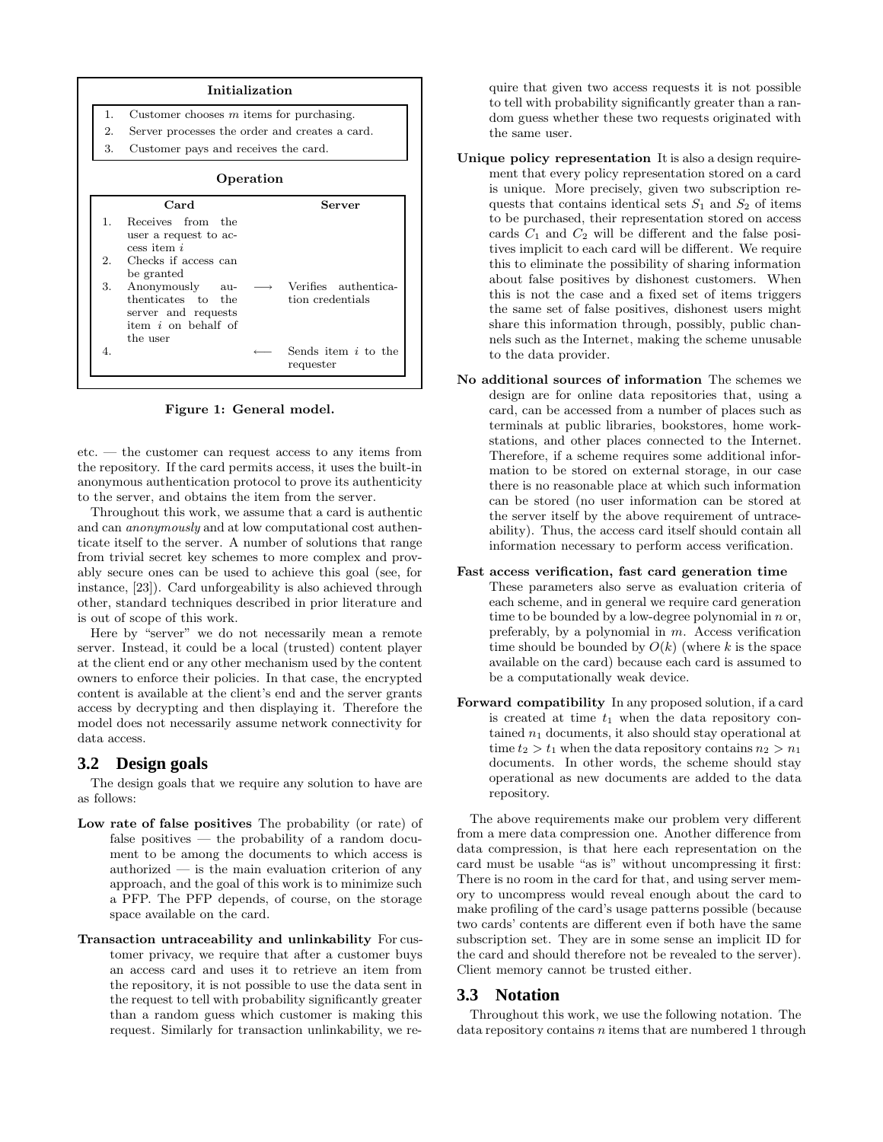

Figure 1: General model.

etc. — the customer can request access to any items from the repository. If the card permits access, it uses the built-in anonymous authentication protocol to prove its authenticity to the server, and obtains the item from the server.

Throughout this work, we assume that a card is authentic and can anonymously and at low computational cost authenticate itself to the server. A number of solutions that range from trivial secret key schemes to more complex and provably secure ones can be used to achieve this goal (see, for instance, [23]). Card unforgeability is also achieved through other, standard techniques described in prior literature and is out of scope of this work.

Here by "server" we do not necessarily mean a remote server. Instead, it could be a local (trusted) content player at the client end or any other mechanism used by the content owners to enforce their policies. In that case, the encrypted content is available at the client's end and the server grants access by decrypting and then displaying it. Therefore the model does not necessarily assume network connectivity for data access.

#### **3.2 Design goals**

The design goals that we require any solution to have are as follows:

- Low rate of false positives The probability (or rate) of false positives — the probability of a random document to be among the documents to which access is  $\alpha$ authorized — is the main evaluation criterion of any approach, and the goal of this work is to minimize such a PFP. The PFP depends, of course, on the storage space available on the card.
- Transaction untraceability and unlinkability For customer privacy, we require that after a customer buys an access card and uses it to retrieve an item from the repository, it is not possible to use the data sent in the request to tell with probability significantly greater than a random guess which customer is making this request. Similarly for transaction unlinkability, we re-

quire that given two access requests it is not possible to tell with probability significantly greater than a random guess whether these two requests originated with the same user.

- Unique policy representation It is also a design requirement that every policy representation stored on a card is unique. More precisely, given two subscription requests that contains identical sets  $S_1$  and  $S_2$  of items to be purchased, their representation stored on access cards  $C_1$  and  $C_2$  will be different and the false positives implicit to each card will be different. We require this to eliminate the possibility of sharing information about false positives by dishonest customers. When this is not the case and a fixed set of items triggers the same set of false positives, dishonest users might share this information through, possibly, public channels such as the Internet, making the scheme unusable to the data provider.
- No additional sources of information The schemes we design are for online data repositories that, using a card, can be accessed from a number of places such as terminals at public libraries, bookstores, home workstations, and other places connected to the Internet. Therefore, if a scheme requires some additional information to be stored on external storage, in our case there is no reasonable place at which such information can be stored (no user information can be stored at the server itself by the above requirement of untraceability). Thus, the access card itself should contain all information necessary to perform access verification.
- Fast access verification, fast card generation time These parameters also serve as evaluation criteria of each scheme, and in general we require card generation time to be bounded by a low-degree polynomial in  $n \text{ or}$ , preferably, by a polynomial in  $m$ . Access verification time should be bounded by  $O(k)$  (where k is the space available on the card) because each card is assumed to be a computationally weak device.
- Forward compatibility In any proposed solution, if a card is created at time  $t_1$  when the data repository contained  $n_1$  documents, it also should stay operational at time  $t_2 > t_1$  when the data repository contains  $n_2 > n_1$ documents. In other words, the scheme should stay operational as new documents are added to the data repository.

The above requirements make our problem very different from a mere data compression one. Another difference from data compression, is that here each representation on the card must be usable "as is" without uncompressing it first: There is no room in the card for that, and using server memory to uncompress would reveal enough about the card to make profiling of the card's usage patterns possible (because two cards' contents are different even if both have the same subscription set. They are in some sense an implicit ID for the card and should therefore not be revealed to the server). Client memory cannot be trusted either.

## **3.3 Notation**

Throughout this work, we use the following notation. The  $data$  repository contains  $n$  items that are numbered 1 through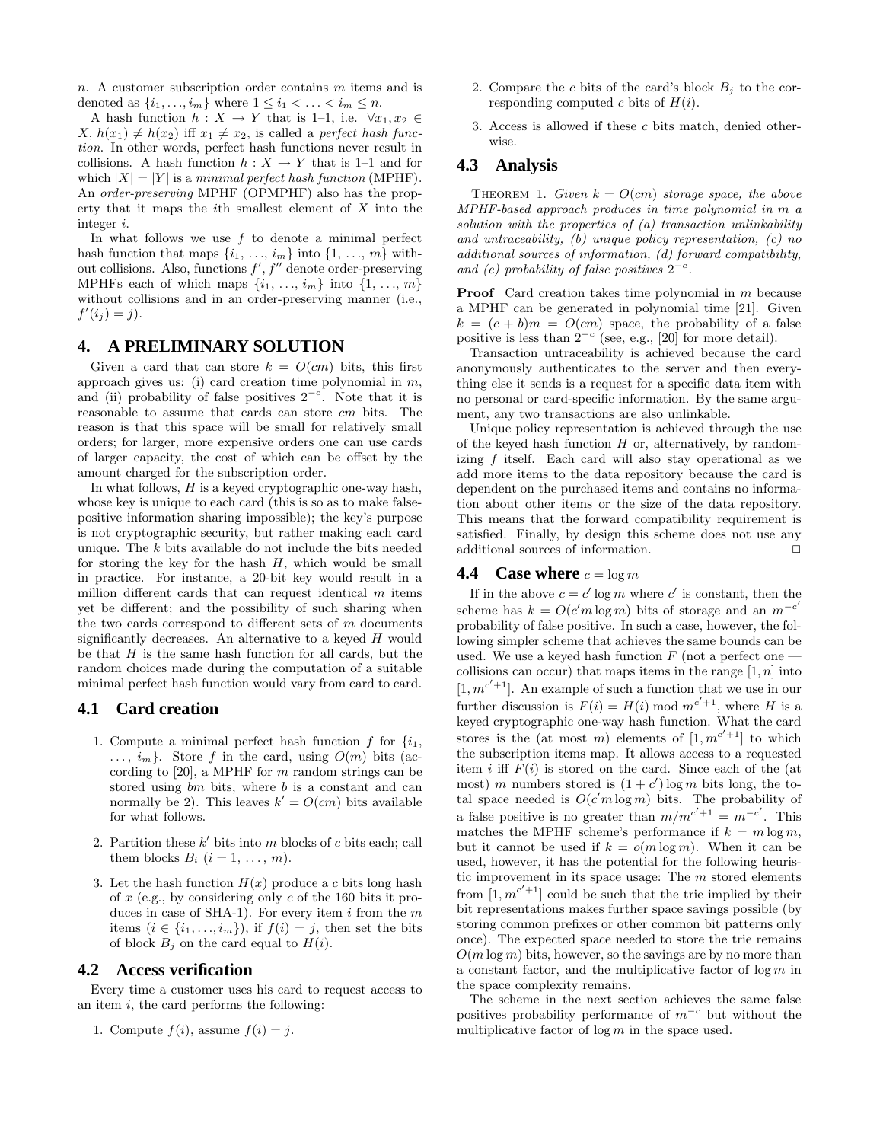n. A customer subscription order contains m items and is denoted as  $\{i_1, \ldots, i_m\}$  where  $1 \leq i_1 < \ldots < i_m \leq n$ .

A hash function  $h: X \to Y$  that is 1–1, i.e.  $\forall x_1, x_2 \in$  $X, h(x_1) \neq h(x_2)$  iff  $x_1 \neq x_2$ , is called a perfect hash function. In other words, perfect hash functions never result in collisions. A hash function  $h: X \to Y$  that is 1–1 and for which  $|X| = |Y|$  is a minimal perfect hash function (MPHF). An order-preserving MPHF (OPMPHF) also has the property that it maps the ith smallest element of X into the integer i.

In what follows we use  $f$  to denote a minimal perfect hash function that maps  $\{i_1, \ldots, i_m\}$  into  $\{1, \ldots, m\}$  without collisions. Also, functions  $f', f''$  denote order-preserving MPHFs each of which maps  $\{i_1, \ldots, i_m\}$  into  $\{1, \ldots, m\}$ without collisions and in an order-preserving manner (i.e.,  $f'(i_j) = j$ .

# **4. A PRELIMINARY SOLUTION**

Given a card that can store  $k = O(cm)$  bits, this first approach gives us: (i) card creation time polynomial in  $m$ , and (ii) probability of false positives  $2^{-c}$ . Note that it is reasonable to assume that cards can store cm bits. The reason is that this space will be small for relatively small orders; for larger, more expensive orders one can use cards of larger capacity, the cost of which can be offset by the amount charged for the subscription order.

In what follows,  $H$  is a keyed cryptographic one-way hash, whose key is unique to each card (this is so as to make falsepositive information sharing impossible); the key's purpose is not cryptographic security, but rather making each card unique. The k bits available do not include the bits needed for storing the key for the hash  $H$ , which would be small in practice. For instance, a 20-bit key would result in a million different cards that can request identical  $m$  items yet be different; and the possibility of such sharing when the two cards correspond to different sets of  $m$  documents significantly decreases. An alternative to a keyed  $H$  would be that  $H$  is the same hash function for all cards, but the random choices made during the computation of a suitable minimal perfect hash function would vary from card to card.

## **4.1 Card creation**

- 1. Compute a minimal perfect hash function f for  $\{i_1,$  $..., i_m$ . Store f in the card, using  $O(m)$  bits (according to [20], a MPHF for  $m$  random strings can be stored using  $bm$  bits, where  $b$  is a constant and can normally be 2). This leaves  $k' = O(cm)$  bits available for what follows.
- 2. Partition these  $k'$  bits into m blocks of c bits each; call them blocks  $B_i$   $(i = 1, \ldots, m)$ .
- 3. Let the hash function  $H(x)$  produce a c bits long hash of x (e.g., by considering only c of the 160 bits it produces in case of SHA-1). For every item  $i$  from the  $m$ items  $(i \in \{i_1, \ldots, i_m\})$ , if  $f(i) = j$ , then set the bits of block  $B_i$  on the card equal to  $H(i)$ .

#### **4.2 Access verification**

Every time a customer uses his card to request access to an item  $i$ , the card performs the following:

1. Compute  $f(i)$ , assume  $f(i) = j$ .

- 2. Compare the c bits of the card's block  $B_i$  to the corresponding computed c bits of  $H(i)$ .
- 3. Access is allowed if these c bits match, denied otherwise.

#### **4.3 Analysis**

THEOREM 1. Given  $k = O(cm)$  storage space, the above MPHF-based approach produces in time polynomial in m a solution with the properties of (a) transaction unlinkability and untraceability, (b) unique policy representation, (c) no additional sources of information, (d) forward compatibility, and (e) probability of false positives  $2^{-c}$ .

**Proof** Card creation takes time polynomial in m because a MPHF can be generated in polynomial time [21]. Given  $k = (c + b)m = O(cm)$  space, the probability of a false positive is less than  $2^{-c}$  (see, e.g., [20] for more detail).

Transaction untraceability is achieved because the card anonymously authenticates to the server and then everything else it sends is a request for a specific data item with no personal or card-specific information. By the same argument, any two transactions are also unlinkable.

Unique policy representation is achieved through the use of the keyed hash function  $H$  or, alternatively, by randomizing f itself. Each card will also stay operational as we add more items to the data repository because the card is dependent on the purchased items and contains no information about other items or the size of the data repository. This means that the forward compatibility requirement is satisfied. Finally, by design this scheme does not use any additional sources of information.  $\Box$ 

#### **4.4** Case where  $c = \log m$

If in the above  $c = c' \log m$  where c' is constant, then the scheme has  $k = O(c'm \log m)$  bits of storage and an  $m^{-c'}$ probability of false positive. In such a case, however, the following simpler scheme that achieves the same bounds can be used. We use a keyed hash function  $F$  (not a perfect one  $$ collisions can occur) that maps items in the range  $[1, n]$  into  $[1, m^{c'+1}]$ . An example of such a function that we use in our further discussion is  $F(i) = H(i) \mod m^{c'+1}$ , where H is a keyed cryptographic one-way hash function. What the card stores is the (at most m) elements of  $[1, m^{c'+1}]$  to which the subscription items map. It allows access to a requested item i iff  $F(i)$  is stored on the card. Since each of the (at most) m numbers stored is  $(1 + c') \log m$  bits long, the total space needed is  $O(c'm\log m)$  bits. The probability of a false positive is no greater than  $m/m^{c'+1} = m^{-c'}$ . This matches the MPHF scheme's performance if  $k = m \log m$ , but it cannot be used if  $k = o(m \log m)$ . When it can be used, however, it has the potential for the following heuristic improvement in its space usage: The  $m$  stored elements from  $[1, m^{c'+1}]$  could be such that the trie implied by their bit representations makes further space savings possible (by storing common prefixes or other common bit patterns only once). The expected space needed to store the trie remains  $O(m \log m)$  bits, however, so the savings are by no more than a constant factor, and the multiplicative factor of  $\log m$  in the space complexity remains.

The scheme in the next section achieves the same false positives probability performance of  $m^{-c}$  but without the multiplicative factor of  $\log m$  in the space used.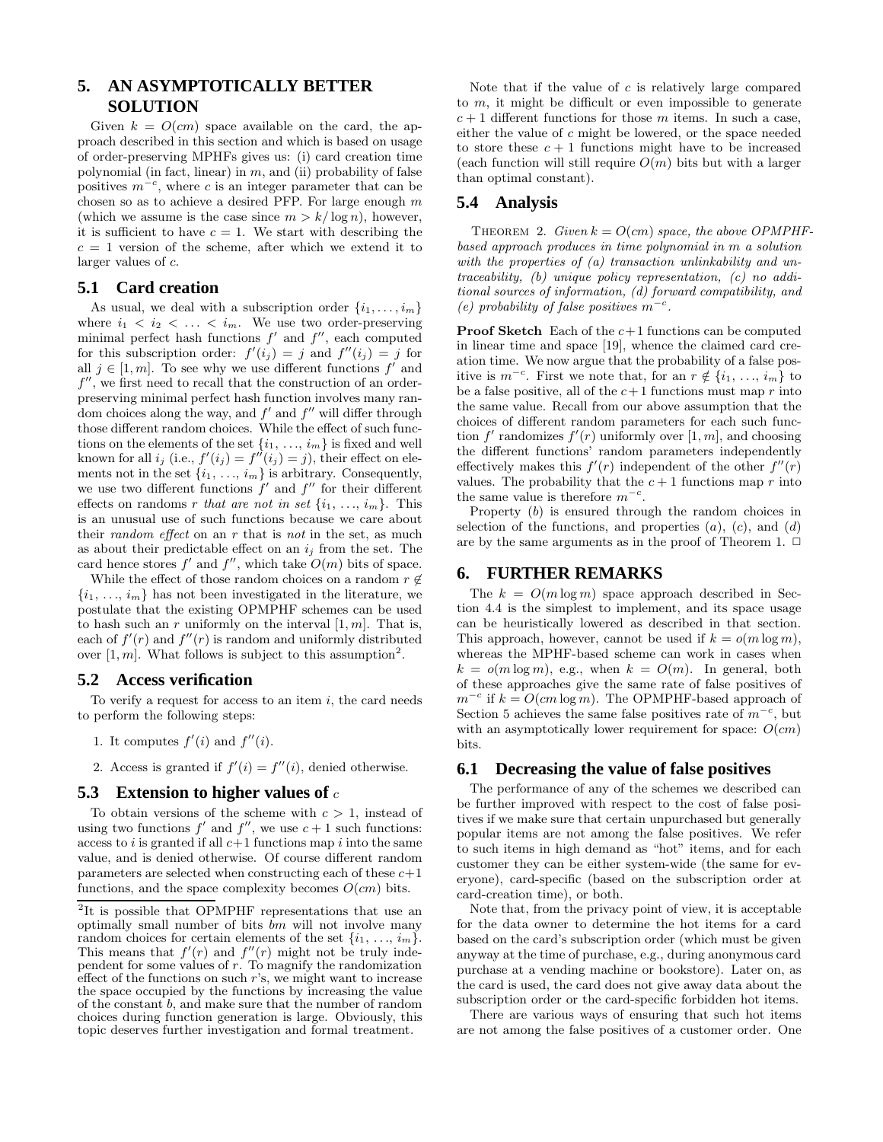# **5. AN ASYMPTOTICALLY BETTER SOLUTION**

Given  $k = O(cm)$  space available on the card, the approach described in this section and which is based on usage of order-preserving MPHFs gives us: (i) card creation time polynomial (in fact, linear) in  $m$ , and (ii) probability of false positives  $m^{-c}$ , where c is an integer parameter that can be chosen so as to achieve a desired PFP. For large enough  $m$ (which we assume is the case since  $m > k/\log n$ ), however, it is sufficient to have  $c = 1$ . We start with describing the  $c = 1$  version of the scheme, after which we extend it to larger values of c.

## **5.1 Card creation**

As usual, we deal with a subscription order  $\{i_1, \ldots, i_m\}$ where  $i_1 < i_2 < \ldots < i_m$ . We use two order-preserving minimal perfect hash functions  $f'$  and  $f''$ , each computed for this subscription order:  $f'(i_j) = j$  and  $f''(i_j) = j$  for all  $j \in [1, m]$ . To see why we use different functions  $f'$  and  $f''$ , we first need to recall that the construction of an orderpreserving minimal perfect hash function involves many random choices along the way, and  $f'$  and  $f''$  will differ through those different random choices. While the effect of such functions on the elements of the set  $\{i_1, \ldots, i_m\}$  is fixed and well known for all  $i_j$  (i.e.,  $f'(i_j) = f''(i_j) = j$ ), their effect on elements not in the set  $\{i_1, \ldots, i_m\}$  is arbitrary. Consequently, we use two different functions  $f'$  and  $f''$  for their different effects on randoms r that are not in set  $\{i_1, \ldots, i_m\}$ . This is an unusual use of such functions because we care about their *random* effect on an  $r$  that is *not* in the set, as much as about their predictable effect on an  $i_j$  from the set. The card hence stores  $f'$  and  $f''$ , which take  $O(m)$  bits of space.

While the effect of those random choices on a random  $r \notin$  $\{i_1, \ldots, i_m\}$  has not been investigated in the literature, we postulate that the existing OPMPHF schemes can be used to hash such an r uniformly on the interval  $[1, m]$ . That is, each of  $f'(r)$  and  $f''(r)$  is random and uniformly distributed over  $[1, m]$ . What follows is subject to this assumption<sup>2</sup>.

#### **5.2 Access verification**

To verify a request for access to an item i, the card needs to perform the following steps:

- 1. It computes  $f'(i)$  and  $f''(i)$ .
- 2. Access is granted if  $f'(i) = f''(i)$ , denied otherwise.

#### **5.3 Extension to higher values of** c

To obtain versions of the scheme with  $c > 1$ , instead of using two functions  $f'$  and  $f''$ , we use  $c + 1$  such functions: access to i is granted if all  $c+1$  functions map i into the same value, and is denied otherwise. Of course different random parameters are selected when constructing each of these  $c+1$ functions, and the space complexity becomes  $O(cm)$  bits.

Note that if the value of  $c$  is relatively large compared to  $m$ , it might be difficult or even impossible to generate  $c + 1$  different functions for those m items. In such a case, either the value of c might be lowered, or the space needed to store these  $c + 1$  functions might have to be increased (each function will still require  $O(m)$  bits but with a larger than optimal constant).

#### **5.4 Analysis**

THEOREM 2. Given  $k = O(cm)$  space, the above OPMPHFbased approach produces in time polynomial in m a solution with the properties of (a) transaction unlinkability and untraceability, (b) unique policy representation, (c) no additional sources of information, (d) forward compatibility, and (e) probability of false positives  $m^{-c}$ .

**Proof Sketch** Each of the  $c+1$  functions can be computed in linear time and space [19], whence the claimed card creation time. We now argue that the probability of a false positive is  $m^{-c}$ . First we note that, for an  $r \notin \{i_1, \ldots, i_m\}$  to be a false positive, all of the  $c+1$  functions must map r into the same value. Recall from our above assumption that the choices of different random parameters for each such function  $f'$  randomizes  $f'(r)$  uniformly over  $[1, m]$ , and choosing the different functions' random parameters independently effectively makes this  $f'(r)$  independent of the other  $f''(r)$ values. The probability that the  $c+1$  functions map r into the same value is therefore  $m^{-c}$ .

Property (b) is ensured through the random choices in selection of the functions, and properties  $(a)$ ,  $(c)$ , and  $(d)$ are by the same arguments as in the proof of Theorem 1.  $\Box$ 

#### **6. FURTHER REMARKS**

The  $k = O(m \log m)$  space approach described in Section 4.4 is the simplest to implement, and its space usage can be heuristically lowered as described in that section. This approach, however, cannot be used if  $k = o(m \log m)$ , whereas the MPHF-based scheme can work in cases when  $k = o(m \log m)$ , e.g., when  $k = O(m)$ . In general, both of these approaches give the same rate of false positives of  $m^{-c}$  if  $k = O(cm \log m)$ . The OPMPHF-based approach of Section 5 achieves the same false positives rate of  $m^{-c}$ , but with an asymptotically lower requirement for space:  $O(cm)$ bits.

#### **6.1 Decreasing the value of false positives**

The performance of any of the schemes we described can be further improved with respect to the cost of false positives if we make sure that certain unpurchased but generally popular items are not among the false positives. We refer to such items in high demand as "hot" items, and for each customer they can be either system-wide (the same for everyone), card-specific (based on the subscription order at card-creation time), or both.

Note that, from the privacy point of view, it is acceptable for the data owner to determine the hot items for a card based on the card's subscription order (which must be given anyway at the time of purchase, e.g., during anonymous card purchase at a vending machine or bookstore). Later on, as the card is used, the card does not give away data about the subscription order or the card-specific forbidden hot items.

There are various ways of ensuring that such hot items are not among the false positives of a customer order. One

<sup>&</sup>lt;sup>2</sup>It is possible that OPMPHF representations that use an optimally small number of bits  $\bar{b}m$  will not involve many random choices for certain elements of the set  $\{i_1, \ldots, i_m\}$ . This means that  $f'(r)$  and  $f''(r)$  might not be truly independent for some values of r. To magnify the randomization effect of the functions on such r's, we might want to increase the space occupied by the functions by increasing the value of the constant b, and make sure that the number of random choices during function generation is large. Obviously, this topic deserves further investigation and formal treatment.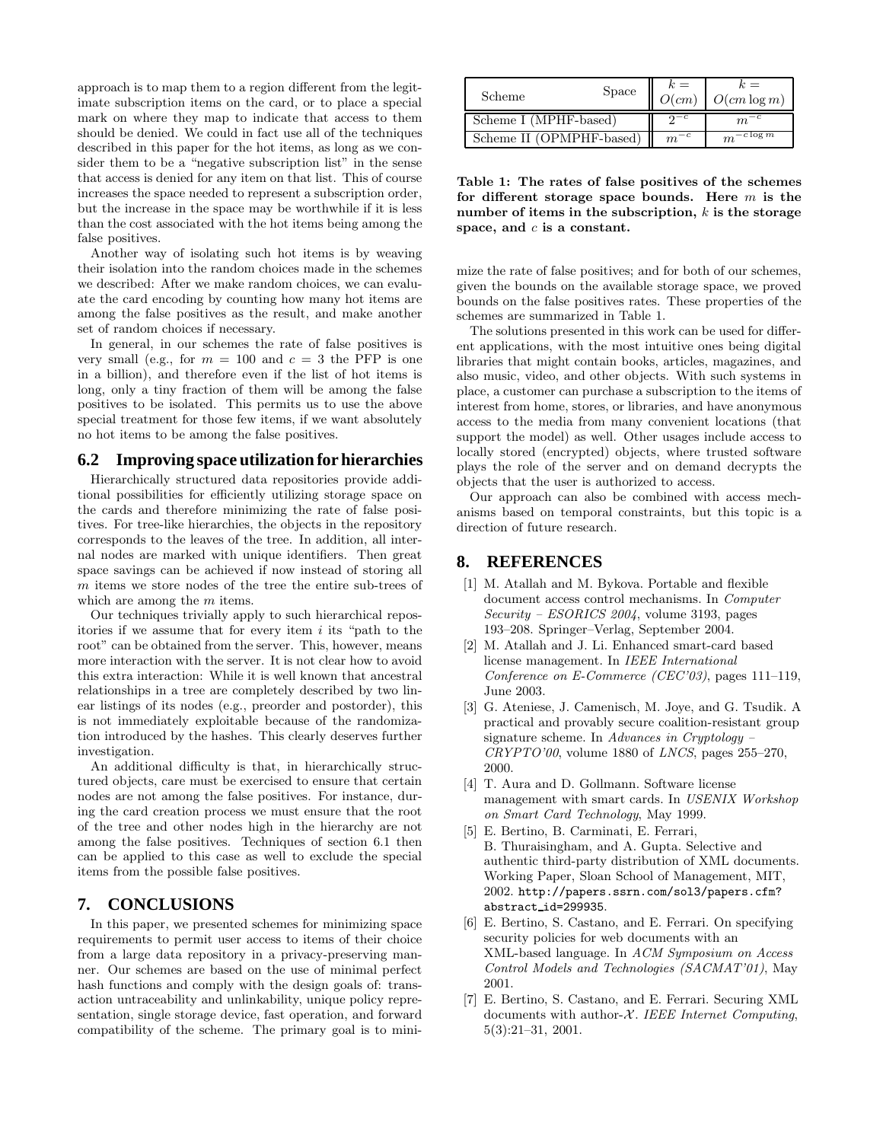approach is to map them to a region different from the legitimate subscription items on the card, or to place a special mark on where they map to indicate that access to them should be denied. We could in fact use all of the techniques described in this paper for the hot items, as long as we consider them to be a "negative subscription list" in the sense that access is denied for any item on that list. This of course increases the space needed to represent a subscription order, but the increase in the space may be worthwhile if it is less than the cost associated with the hot items being among the false positives.

Another way of isolating such hot items is by weaving their isolation into the random choices made in the schemes we described: After we make random choices, we can evaluate the card encoding by counting how many hot items are among the false positives as the result, and make another set of random choices if necessary.

In general, in our schemes the rate of false positives is very small (e.g., for  $m = 100$  and  $c = 3$  the PFP is one in a billion), and therefore even if the list of hot items is long, only a tiny fraction of them will be among the false positives to be isolated. This permits us to use the above special treatment for those few items, if we want absolutely no hot items to be among the false positives.

# **6.2 Improving space utilization for hierarchies**

Hierarchically structured data repositories provide additional possibilities for efficiently utilizing storage space on the cards and therefore minimizing the rate of false positives. For tree-like hierarchies, the objects in the repository corresponds to the leaves of the tree. In addition, all internal nodes are marked with unique identifiers. Then great space savings can be achieved if now instead of storing all  $m$  items we store nodes of the tree the entire sub-trees of which are among the m items.

Our techniques trivially apply to such hierarchical repositories if we assume that for every item  $i$  its "path to the root" can be obtained from the server. This, however, means more interaction with the server. It is not clear how to avoid this extra interaction: While it is well known that ancestral relationships in a tree are completely described by two linear listings of its nodes (e.g., preorder and postorder), this is not immediately exploitable because of the randomization introduced by the hashes. This clearly deserves further investigation.

An additional difficulty is that, in hierarchically structured objects, care must be exercised to ensure that certain nodes are not among the false positives. For instance, during the card creation process we must ensure that the root of the tree and other nodes high in the hierarchy are not among the false positives. Techniques of section 6.1 then can be applied to this case as well to exclude the special items from the possible false positives.

# **7. CONCLUSIONS**

In this paper, we presented schemes for minimizing space requirements to permit user access to items of their choice from a large data repository in a privacy-preserving manner. Our schemes are based on the use of minimal perfect hash functions and comply with the design goals of: transaction untraceability and unlinkability, unique policy representation, single storage device, fast operation, and forward compatibility of the scheme. The primary goal is to mini-

| Space<br>Scheme          | $k =$<br>O(cm) | $=$<br>$O(cm \log m)$ |
|--------------------------|----------------|-----------------------|
| Scheme I (MPHF-based)    | $n - c$        | $m^{-c}$              |
| Scheme II (OPMPHF-based) | $-c$<br>m      | $m^{-c\log m}$        |

Table 1: The rates of false positives of the schemes for different storage space bounds. Here  $m$  is the number of items in the subscription,  $k$  is the storage space, and  $c$  is a constant.

mize the rate of false positives; and for both of our schemes, given the bounds on the available storage space, we proved bounds on the false positives rates. These properties of the schemes are summarized in Table 1.

The solutions presented in this work can be used for different applications, with the most intuitive ones being digital libraries that might contain books, articles, magazines, and also music, video, and other objects. With such systems in place, a customer can purchase a subscription to the items of interest from home, stores, or libraries, and have anonymous access to the media from many convenient locations (that support the model) as well. Other usages include access to locally stored (encrypted) objects, where trusted software plays the role of the server and on demand decrypts the objects that the user is authorized to access.

Our approach can also be combined with access mechanisms based on temporal constraints, but this topic is a direction of future research.

# **8. REFERENCES**

- [1] M. Atallah and M. Bykova. Portable and flexible document access control mechanisms. In Computer Security – ESORICS 2004, volume 3193, pages 193–208. Springer–Verlag, September 2004.
- [2] M. Atallah and J. Li. Enhanced smart-card based license management. In IEEE International Conference on E-Commerce (CEC'03), pages 111–119, June 2003.
- [3] G. Ateniese, J. Camenisch, M. Joye, and G. Tsudik. A practical and provably secure coalition-resistant group signature scheme. In Advances in Cryptology –  $CRYPTO'00$ , volume 1880 of *LNCS*, pages 255-270, 2000.
- [4] T. Aura and D. Gollmann. Software license management with smart cards. In USENIX Workshop on Smart Card Technology, May 1999.
- [5] E. Bertino, B. Carminati, E. Ferrari, B. Thuraisingham, and A. Gupta. Selective and authentic third-party distribution of XML documents. Working Paper, Sloan School of Management, MIT, 2002. http://papers.ssrn.com/sol3/papers.cfm? abstract id=299935.
- [6] E. Bertino, S. Castano, and E. Ferrari. On specifying security policies for web documents with an XML-based language. In ACM Symposium on Access Control Models and Technologies (SACMAT'01), May 2001.
- [7] E. Bertino, S. Castano, and E. Ferrari. Securing XML documents with author- $X$ . IEEE Internet Computing, 5(3):21–31, 2001.